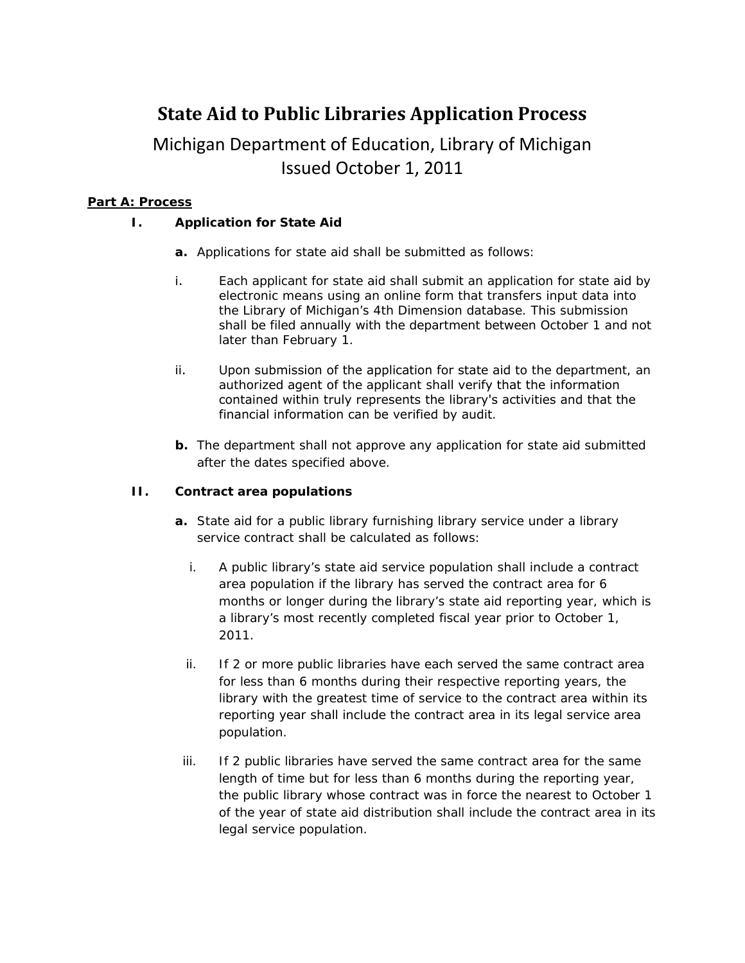# **State Aid to Public Libraries Application Process**

## Michigan Department of Education, Library of Michigan Issued October 1, 2011

#### **Part A: Process**

#### *I. Application for State Aid*

- **a.** Applications for state aid shall be submitted as follows:
- i. Each applicant for state aid shall submit an application for state aid by electronic means using an online form that transfers input data into the Library of Michigan's 4th Dimension database. This submission shall be filed annually with the department between October 1 and not later than February 1.
- ii. Upon submission of the application for state aid to the department, an authorized agent of the applicant shall verify that the information contained within truly represents the library's activities and that the financial information can be verified by audit.
- **b.** The department shall not approve any application for state aid submitted after the dates specified above.

#### **II.** *Contract area populations*

- **a.** State aid for a public library furnishing library service under a library service contract shall be calculated as follows:
	- i. A public library's state aid service population shall include a contract area population if the library has served the contract area for 6 months or longer during the library's state aid reporting year, which is a library's most recently completed fiscal year prior to October 1, 2011.
	- ii. If 2 or more public libraries have each served the same contract area for less than 6 months during their respective reporting years, the library with the greatest time of service to the contract area within its reporting year shall include the contract area in its legal service area population.
- iii. If 2 public libraries have served the same contract area for the same length of time but for less than 6 months during the reporting year, the public library whose contract was in force the nearest to October 1 of the year of state aid distribution shall include the contract area in its legal service population.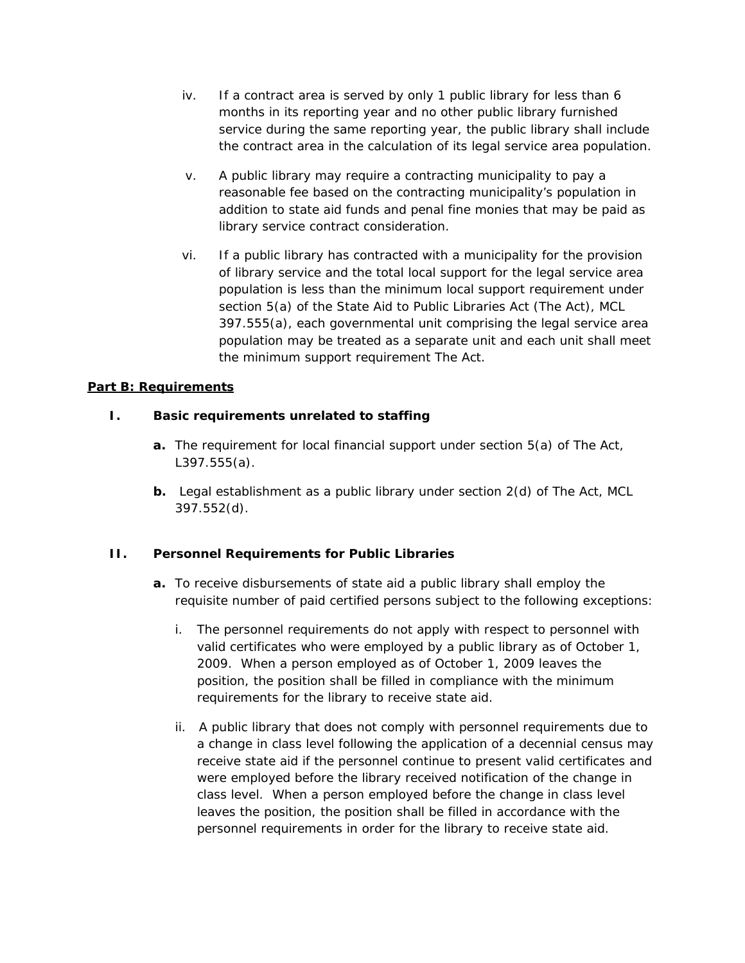- iv. If a contract area is served by only 1 public library for less than 6 months in its reporting year and no other public library furnished service during the same reporting year, the public library shall include the contract area in the calculation of its legal service area population.
- v. A public library may require a contracting municipality to pay a reasonable fee based on the contracting municipality's population in addition to state aid funds and penal fine monies that may be paid as library service contract consideration.
- vi. If a public library has contracted with a municipality for the provision of library service and the total local support for the legal service area population is less than the minimum local support requirement under section 5(a) of the State Aid to Public Libraries Act (The Act), MCL 397.555(a), each governmental unit comprising the legal service area population may be treated as a separate unit and each unit shall meet the minimum support requirement The Act.

#### **Part B: Requirements**

#### *I. Basic requirements unrelated to staffing*

- **a.** The requirement for local financial support under section 5(a) of The Act, L397.555(a).
- **b.** Legal establishment as a public library under section 2(d) of The Act, MCL 397.552(d).

#### *II. Personnel Requirements for Public Libraries*

- **a.** To receive disbursements of state aid a public library shall employ the requisite number of paid certified persons subject to the following exceptions:
	- i. The personnel requirements do not apply with respect to personnel with valid certificates who were employed by a public library as of October 1, 2009. When a person employed as of October 1, 2009 leaves the position, the position shall be filled in compliance with the minimum requirements for the library to receive state aid.
	- ii. A public library that does not comply with personnel requirements due to a change in class level following the application of a decennial census may receive state aid if the personnel continue to present valid certificates and were employed before the library received notification of the change in class level. When a person employed before the change in class level leaves the position, the position shall be filled in accordance with the personnel requirements in order for the library to receive state aid.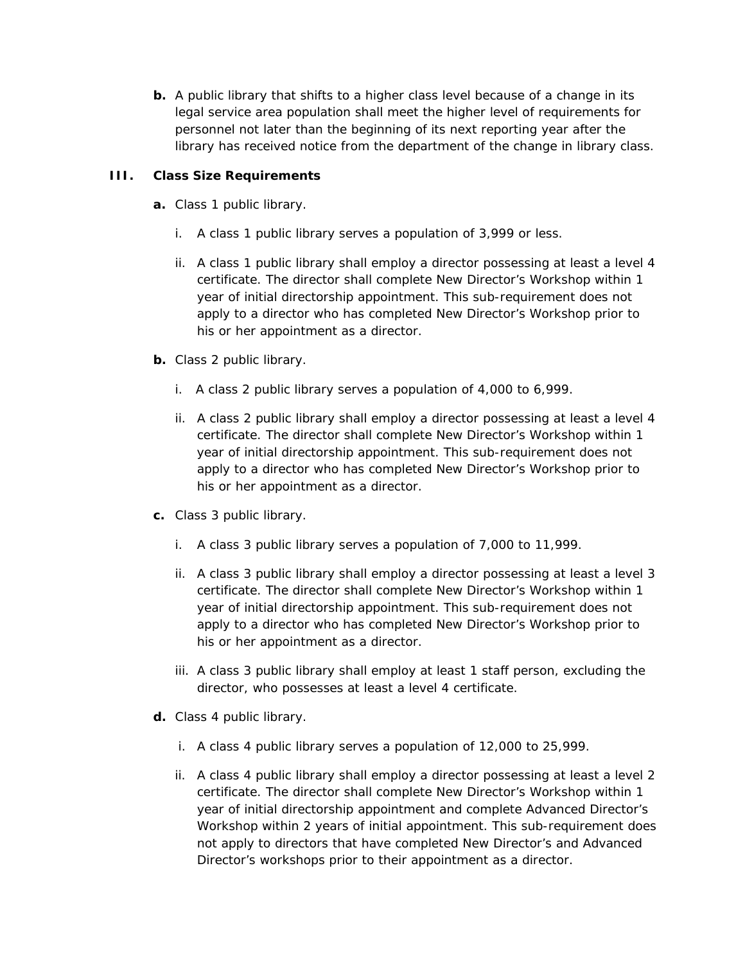**b.** A public library that shifts to a higher class level because of a change in its legal service area population shall meet the higher level of requirements for personnel not later than the beginning of its next reporting year after the library has received notice from the department of the change in library class.

#### *III. Class Size Requirements*

- **a.** Class 1 public library.
	- i. A class 1 public library serves a population of 3,999 or less.
	- ii. A class 1 public library shall employ a director possessing at least a level 4 certificate. The director shall complete New Director's Workshop within 1 year of initial directorship appointment. This sub-requirement does not apply to a director who has completed New Director's Workshop prior to his or her appointment as a director.
- **b.** Class 2 public library.
	- i. A class 2 public library serves a population of 4,000 to 6,999.
	- ii. A class 2 public library shall employ a director possessing at least a level 4 certificate. The director shall complete New Director's Workshop within 1 year of initial directorship appointment. This sub-requirement does not apply to a director who has completed New Director's Workshop prior to his or her appointment as a director.
- **c.** Class 3 public library.
	- i. A class 3 public library serves a population of 7,000 to 11,999.
	- ii. A class 3 public library shall employ a director possessing at least a level 3 certificate. The director shall complete New Director's Workshop within 1 year of initial directorship appointment. This sub-requirement does not apply to a director who has completed New Director's Workshop prior to his or her appointment as a director.
	- iii. A class 3 public library shall employ at least 1 staff person, excluding the director, who possesses at least a level 4 certificate.
- **d.** Class 4 public library.
	- i. A class 4 public library serves a population of 12,000 to 25,999.
	- ii. A class 4 public library shall employ a director possessing at least a level 2 certificate. The director shall complete New Director's Workshop within 1 year of initial directorship appointment and complete Advanced Director's Workshop within 2 years of initial appointment. This sub-requirement does not apply to directors that have completed New Director's and Advanced Director's workshops prior to their appointment as a director.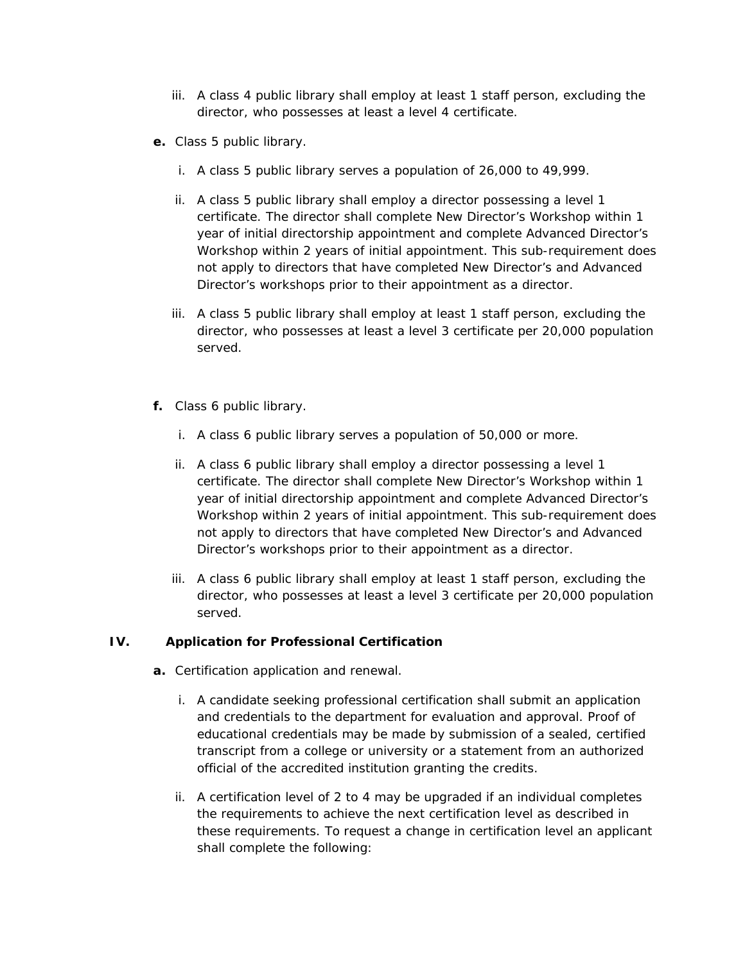- iii. A class 4 public library shall employ at least 1 staff person, excluding the director, who possesses at least a level 4 certificate.
- **e.** Class 5 public library.
	- i. A class 5 public library serves a population of 26,000 to 49,999.
	- ii. A class 5 public library shall employ a director possessing a level 1 certificate. The director shall complete New Director's Workshop within 1 year of initial directorship appointment and complete Advanced Director's Workshop within 2 years of initial appointment. This sub-requirement does not apply to directors that have completed New Director's and Advanced Director's workshops prior to their appointment as a director.
	- iii. A class 5 public library shall employ at least 1 staff person, excluding the director, who possesses at least a level 3 certificate per 20,000 population served.
- **f.** Class 6 public library.
	- i. A class 6 public library serves a population of 50,000 or more.
	- ii. A class 6 public library shall employ a director possessing a level 1 certificate. The director shall complete New Director's Workshop within 1 year of initial directorship appointment and complete Advanced Director's Workshop within 2 years of initial appointment. This sub-requirement does not apply to directors that have completed New Director's and Advanced Director's workshops prior to their appointment as a director.
	- iii. A class 6 public library shall employ at least 1 staff person, excluding the director, who possesses at least a level 3 certificate per 20,000 population served.

### *IV. Application for Professional Certification*

- **a.** Certification application and renewal.
	- i. A candidate seeking professional certification shall submit an application and credentials to the department for evaluation and approval. Proof of educational credentials may be made by submission of a sealed, certified transcript from a college or university or a statement from an authorized official of the accredited institution granting the credits.
	- ii. A certification level of 2 to 4 may be upgraded if an individual completes the requirements to achieve the next certification level as described in these requirements. To request a change in certification level an applicant shall complete the following: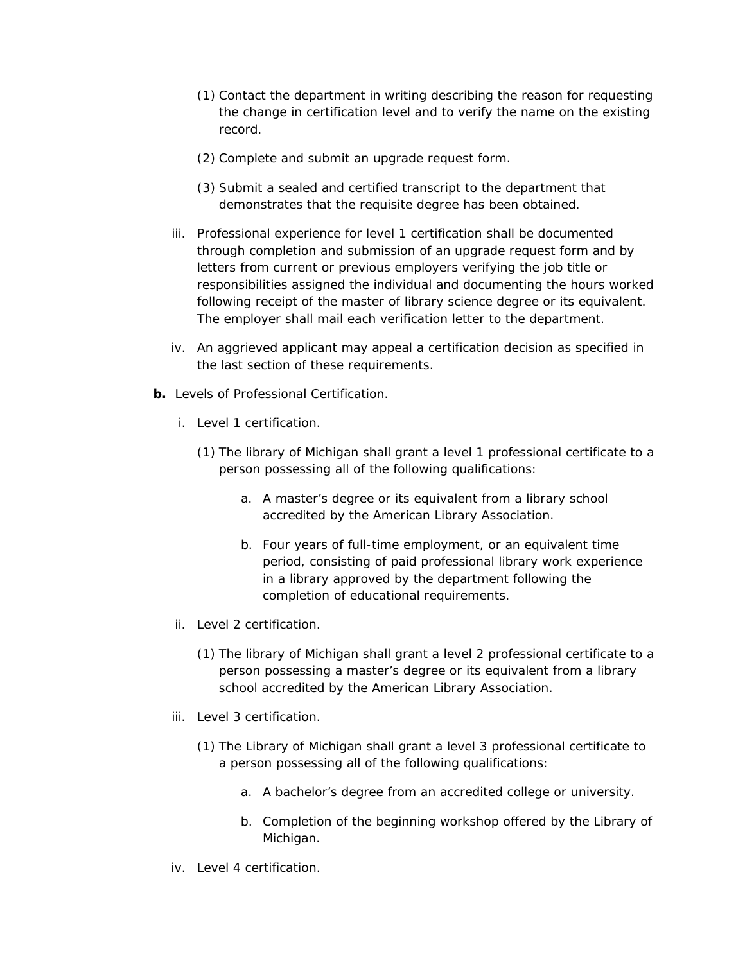- (1) Contact the department in writing describing the reason for requesting the change in certification level and to verify the name on the existing record.
- (2) Complete and submit an upgrade request form.
- (3) Submit a sealed and certified transcript to the department that demonstrates that the requisite degree has been obtained.
- iii. Professional experience for level 1 certification shall be documented through completion and submission of an upgrade request form and by letters from current or previous employers verifying the job title or responsibilities assigned the individual and documenting the hours worked following receipt of the master of library science degree or its equivalent. The employer shall mail each verification letter to the department.
- iv. An aggrieved applicant may appeal a certification decision as specified in the last section of these requirements.
- **b.** Levels of Professional Certification.
	- i. Level 1 certification.
		- (1) The library of Michigan shall grant a level 1 professional certificate to a person possessing all of the following qualifications:
			- a. A master's degree or its equivalent from a library school accredited by the American Library Association.
			- b. Four years of full-time employment, or an equivalent time period, consisting of paid professional library work experience in a library approved by the department following the completion of educational requirements.
	- ii. Level 2 certification.
		- (1) The library of Michigan shall grant a level 2 professional certificate to a person possessing a master's degree or its equivalent from a library school accredited by the American Library Association.
	- iii. Level 3 certification.
		- (1) The Library of Michigan shall grant a level 3 professional certificate to a person possessing all of the following qualifications:
			- a. A bachelor's degree from an accredited college or university.
			- b. Completion of the beginning workshop offered by the Library of Michigan.
	- iv. Level 4 certification.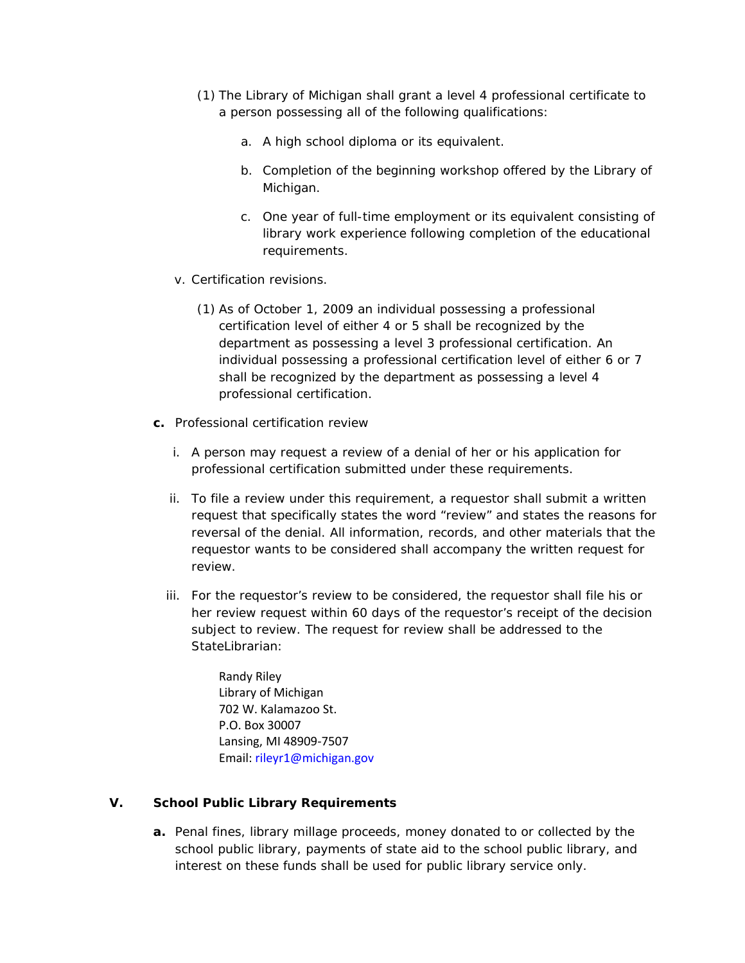- (1) The Library of Michigan shall grant a level 4 professional certificate to a person possessing all of the following qualifications:
	- a. A high school diploma or its equivalent.
	- b. Completion of the beginning workshop offered by the Library of Michigan.
	- c. One year of full-time employment or its equivalent consisting of library work experience following completion of the educational requirements.
- v. Certification revisions.
	- (1) As of October 1, 2009 an individual possessing a professional certification level of either 4 or 5 shall be recognized by the department as possessing a level 3 professional certification. An individual possessing a professional certification level of either 6 or 7 shall be recognized by the department as possessing a level 4 professional certification.
- **c.** Professional certification review
	- i. A person may request a review of a denial of her or his application for professional certification submitted under these requirements.
	- ii. To file a review under this requirement, a requestor shall submit a written request that specifically states the word "review" and states the reasons for reversal of the denial. All information, records, and other materials that the requestor wants to be considered shall accompany the written request for review.
	- iii. For the requestor's review to be considered, the requestor shall file his or her review request within 60 days of the requestor's receipt of the decision subject to review. The request for review shall be addressed to the StateLibrarian:

Randy Riley Library of Michigan 702 W. Kalamazoo St. P.O. Box 30007 Lansing, MI 48909-7507 Email: rileyr1@michigan.gov

#### *V. School Public Library Requirements*

**a.** Penal fines, library millage proceeds, money donated to or collected by the school public library, payments of state aid to the school public library, and interest on these funds shall be used for public library service only.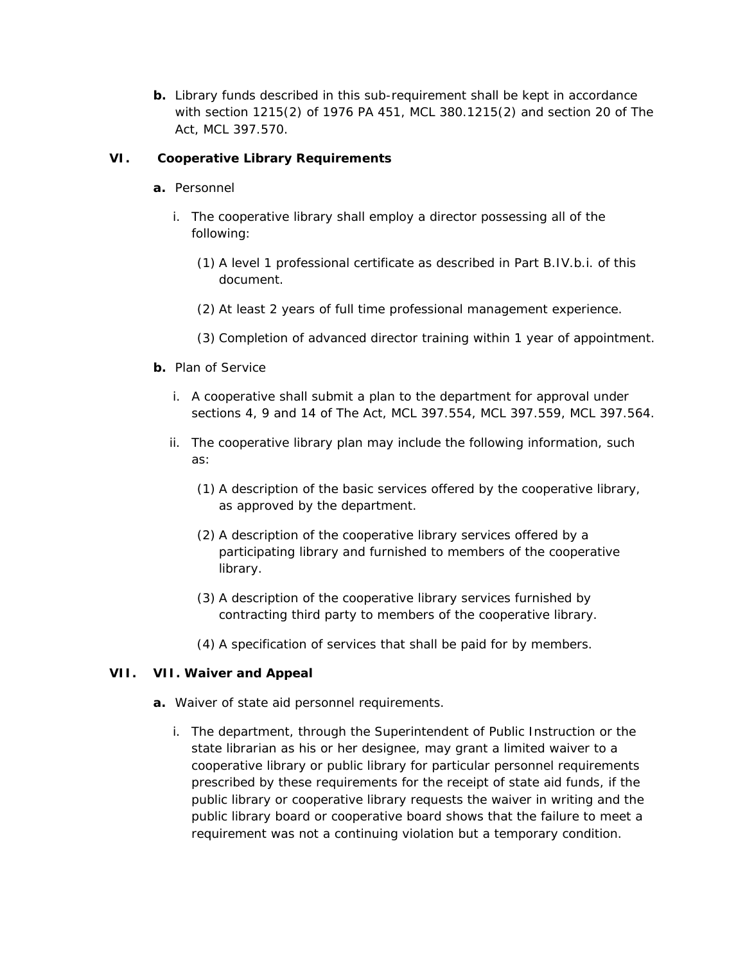**b.** Library funds described in this sub-requirement shall be kept in accordance with section 1215(2) of 1976 PA 451, MCL 380.1215(2) and section 20 of The Act, MCL 397.570.

#### *VI. Cooperative Library Requirements*

- **a.** Personnel
	- i. The cooperative library shall employ a director possessing all of the following:
		- (1) A level 1 professional certificate as described in Part B.IV.b.i. of this document.
		- (2) At least 2 years of full time professional management experience.
		- (3) Completion of advanced director training within 1 year of appointment.
- **b.** Plan of Service
	- i. A cooperative shall submit a plan to the department for approval under sections 4, 9 and 14 of The Act, MCL 397.554, MCL 397.559, MCL 397.564.
	- ii. The cooperative library plan may include the following information, such as:
		- (1) A description of the basic services offered by the cooperative library, as approved by the department.
		- (2) A description of the cooperative library services offered by a participating library and furnished to members of the cooperative library.
		- (3) A description of the cooperative library services furnished by contracting third party to members of the cooperative library.
		- (4) A specification of services that shall be paid for by members.

#### *VII.* **VII.** *Waiver and Appeal*

- **a.** Waiver of state aid personnel requirements.
	- i. The department, through the Superintendent of Public Instruction or the state librarian as his or her designee, may grant a limited waiver to a cooperative library or public library for particular personnel requirements prescribed by these requirements for the receipt of state aid funds, if the public library or cooperative library requests the waiver in writing and the public library board or cooperative board shows that the failure to meet a requirement was not a continuing violation but a temporary condition.